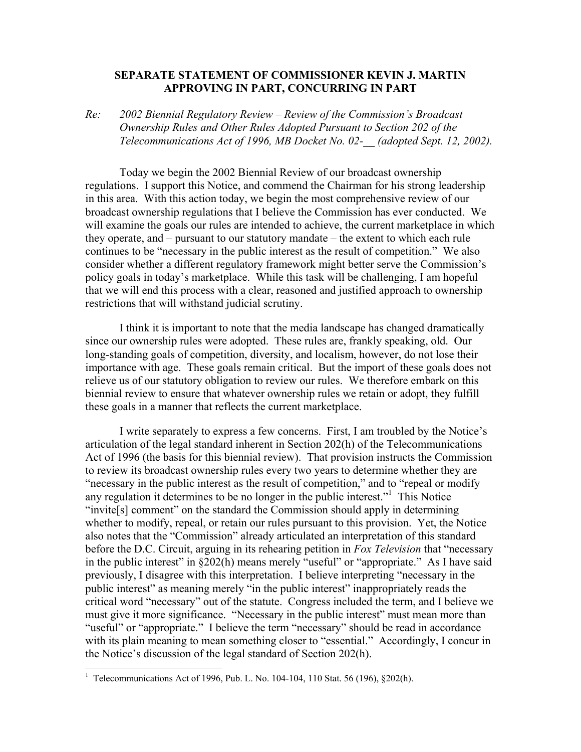## **SEPARATE STATEMENT OF COMMISSIONER KEVIN J. MARTIN APPROVING IN PART, CONCURRING IN PART**

*Re: 2002 Biennial Regulatory Review – Review of the Commission's Broadcast Ownership Rules and Other Rules Adopted Pursuant to Section 202 of the Telecommunications Act of 1996, MB Docket No. 02-\_\_ (adopted Sept. 12, 2002).* 

Today we begin the 2002 Biennial Review of our broadcast ownership regulations. I support this Notice, and commend the Chairman for his strong leadership in this area. With this action today, we begin the most comprehensive review of our broadcast ownership regulations that I believe the Commission has ever conducted. We will examine the goals our rules are intended to achieve, the current marketplace in which they operate, and – pursuant to our statutory mandate – the extent to which each rule continues to be "necessary in the public interest as the result of competition." We also consider whether a different regulatory framework might better serve the Commission's policy goals in today's marketplace. While this task will be challenging, I am hopeful that we will end this process with a clear, reasoned and justified approach to ownership restrictions that will withstand judicial scrutiny.

I think it is important to note that the media landscape has changed dramatically since our ownership rules were adopted. These rules are, frankly speaking, old. Our long-standing goals of competition, diversity, and localism, however, do not lose their importance with age. These goals remain critical. But the import of these goals does not relieve us of our statutory obligation to review our rules. We therefore embark on this biennial review to ensure that whatever ownership rules we retain or adopt, they fulfill these goals in a manner that reflects the current marketplace.

I write separately to express a few concerns. First, I am troubled by the Notice's articulation of the legal standard inherent in Section 202(h) of the Telecommunications Act of 1996 (the basis for this biennial review). That provision instructs the Commission to review its broadcast ownership rules every two years to determine whether they are "necessary in the public interest as the result of competition," and to "repeal or modify any regulation it determines to be no longer in the public interest."<sup>1</sup> This Notice "invite[s] comment" on the standard the Commission should apply in determining whether to modify, repeal, or retain our rules pursuant to this provision. Yet, the Notice also notes that the "Commission" already articulated an interpretation of this standard before the D.C. Circuit, arguing in its rehearing petition in *Fox Television* that "necessary in the public interest" in  $\S202(h)$  means merely "useful" or "appropriate." As I have said previously, I disagree with this interpretation. I believe interpreting "necessary in the public interest" as meaning merely "in the public interest" inappropriately reads the critical word "necessary" out of the statute. Congress included the term, and I believe we must give it more significance. "Necessary in the public interest" must mean more than "useful" or "appropriate." I believe the term "necessary" should be read in accordance with its plain meaning to mean something closer to "essential." Accordingly, I concur in the Notice's discussion of the legal standard of Section 202(h).

l

<sup>&</sup>lt;sup>1</sup> Telecommunications Act of 1996, Pub. L. No. 104-104, 110 Stat. 56 (196),  $\S 202(h)$ .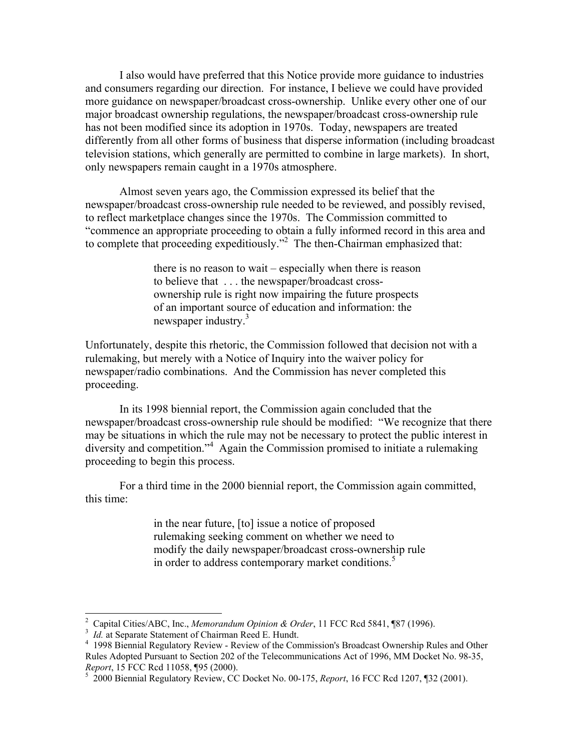I also would have preferred that this Notice provide more guidance to industries and consumers regarding our direction. For instance, I believe we could have provided more guidance on newspaper/broadcast cross-ownership. Unlike every other one of our major broadcast ownership regulations, the newspaper/broadcast cross-ownership rule has not been modified since its adoption in 1970s. Today, newspapers are treated differently from all other forms of business that disperse information (including broadcast television stations, which generally are permitted to combine in large markets). In short, only newspapers remain caught in a 1970s atmosphere.

Almost seven years ago, the Commission expressed its belief that the newspaper/broadcast cross-ownership rule needed to be reviewed, and possibly revised, to reflect marketplace changes since the 1970s. The Commission committed to "commence an appropriate proceeding to obtain a fully informed record in this area and to complete that proceeding expeditiously."<sup>2</sup> The then-Chairman emphasized that:

> there is no reason to wait – especially when there is reason to believe that . . . the newspaper/broadcast crossownership rule is right now impairing the future prospects of an important source of education and information: the newspaper industry.<sup>3</sup>

Unfortunately, despite this rhetoric, the Commission followed that decision not with a rulemaking, but merely with a Notice of Inquiry into the waiver policy for newspaper/radio combinations. And the Commission has never completed this proceeding.

In its 1998 biennial report, the Commission again concluded that the newspaper/broadcast cross-ownership rule should be modified: "We recognize that there may be situations in which the rule may not be necessary to protect the public interest in diversity and competition."<sup>4</sup> Again the Commission promised to initiate a rulemaking proceeding to begin this process.

For a third time in the 2000 biennial report, the Commission again committed, this time:

> in the near future, [to] issue a notice of proposed rulemaking seeking comment on whether we need to modify the daily newspaper/broadcast cross-ownership rule in order to address contemporary market conditions.<sup>5</sup>

<sup>&</sup>lt;sup>2</sup> Capital Cities/ABC, Inc., *Memorandum Opinion & Order*, 11 FCC Rcd 5841, ¶87 (1996).

<sup>&</sup>lt;sup>3</sup> *Id.* at Separate Statement of Chairman Reed E. Hundt.

<sup>&</sup>lt;sup>4</sup> 1998 Biennial Regulatory Review - Review of the Commission's Broadcast Ownership Rules and Other Rules Adopted Pursuant to Section 202 of the Telecommunications Act of 1996, MM Docket No. 98-35, *Report*, 15 FCC Rcd 11058, ¶95 (2000).

 <sup>2000</sup> Biennial Regulatory Review, CC Docket No. 00-175, *Report*, 16 FCC Rcd 1207, ¶32 (2001).